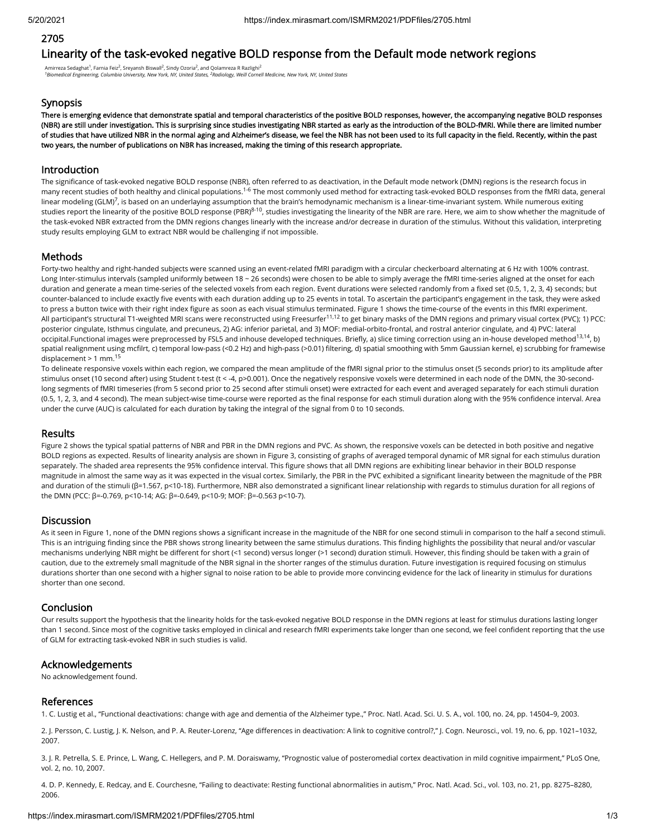# 2705

# Linearity of the task-evoked negative BOLD response from the Default mode network regions

Amirreza Sedaghat<sup>1</sup>, Farnia Feiz<sup>2</sup>, Sreyansh Biswall<sup>2</sup>, Sindy Ozoria<sup>2</sup>, and Qolamreza R Razlighi<sup>2</sup> *Biomedical Engineering, Columbia University, New York, NY, United States, Radiology, Weill Cornell Medicine, New York, NY, United States 1 2*

### **Synopsis**

There is emerging evidence that demonstrate spatial and temporal characteristics of the positive BOLD responses, however, the accompanying negative BOLD responses (NBR) are still under investigation. This is surprising since studies investigating NBR started as early as the introduction of the BOLD-fMRI. While there are limited number of studies that have utilized NBR in the normal aging and Alzheimer's disease, we feel the NBR has not been used to its full capacity in the field. Recently, within the past two years, the number of publications on NBR has increased, making the timing of this research appropriate.

#### Introduction

The significance of task-evoked negative BOLD response (NBR), often referred to as deactivation, in the Default mode network (DMN) regions is the research focus in many recent studies of both healthy and clinical populations.<sup>1-6</sup> The most commonly used method for extracting task-evoked BOLD responses from the fMRI data, general linear modeling (GLM)<sup>7</sup>, is based on an underlaying assumption that the brain's hemodynamic mechanism is a linear-time-invariant system. While numerous exiting studies report the linearity of the positive BOLD response (PBR)<sup>8-10</sup>, studies investigating the linearity of the NBR are rare. Here, we aim to show whether the magnitude of the task-evoked NBR extracted from the DMN regions changes linearly with the increase and/or decrease in duration of the stimulus. Without this validation, interpreting study results employing GLM to extract NBR would be challenging if not impossible.

## Methods

Forty-two healthy and right-handed subjects were scanned using an event-related fMRI paradigm with a circular checkerboard alternating at 6 Hz with 100% contrast. Long Inter-stimulus intervals (sampled uniformly between 18 ~ 26 seconds) were chosen to be able to simply average the fMRI time-series aligned at the onset for each duration and generate a mean time-series of the selected voxels from each region. Event durations were selected randomly from a fixed set {0.5, 1, 2, 3, 4} seconds; but counter-balanced to include exactly five events with each duration adding up to 25 events in total. To ascertain the participant's engagement in the task, they were asked to press a button twice with their right index figure as soon as each visual stimulus terminated. Figure 1 shows the time-course of the events in this fMRI experiment. All participant's structural T1-weighted MRI scans were reconstructed using Freesurfer<sup>11,12</sup> to get binary masks of the DMN regions and primary visual cortex (PVC); 1) PCC: posterior cingulate, Isthmus cingulate, and precuneus, 2) AG: inferior parietal, and 3) MOF: medial-orbito-frontal, and rostral anterior cingulate, and 4) PVC: lateral occipital.Functional images were preprocessed by FSL5 and inhouse developed techniques. Briefly, a) slice timing correction using an in-house developed method<sup>13,14</sup>, b) spatial realignment using mcfilrt, c) temporal low-pass (<0.2 Hz) and high-pass (>0.01) filtering, d) spatial smoothing with 5mm Gaussian kernel, e) scrubbing for framewise displacement > 1 mm. 15

To delineate responsive voxels within each region, we compared the mean amplitude of the fMRI signal prior to the stimulus onset (5 seconds prior) to its amplitude after stimulus onset (10 second after) using Student t-test (t < -4, p>0.001). Once the negatively responsive voxels were determined in each node of the DMN, the 30-secondlong segments of fMRI timeseries (from 5 second prior to 25 second after stimuli onset) were extracted for each event and averaged separately for each stimuli duration (0.5, 1, 2, 3, and 4 second). The mean subject-wise time-course were reported as the final response for each stimuli duration along with the 95% confidence interval. Area under the curve (AUC) is calculated for each duration by taking the integral of the signal from 0 to 10 seconds.

## Results

Figure 2 shows the typical spatial patterns of NBR and PBR in the DMN regions and PVC. As shown, the responsive voxels can be detected in both positive and negative BOLD regions as expected. Results of linearity analysis are shown in Figure 3, consisting of graphs of averaged temporal dynamic of MR signal for each stimulus duration separately. The shaded area represents the 95% confidence interval. This figure shows that all DMN regions are exhibiting linear behavior in their BOLD response magnitude in almost the same way as it was expected in the visual cortex. Similarly, the PBR in the PVC exhibited a significant linearity between the magnitude of the PBR and duration of the stimuli (β=1.567, p<10-18). Furthermore, NBR also demonstrated a significant linear relationship with regards to stimulus duration for all regions of the DMN (PCC: β=-0.769, p<10-14; AG: β=-0.649, p<10-9; MOF: β=-0.563 p<10-7).

### **Discussion**

As it seen in Figure 1, none of the DMN regions shows a significant increase in the magnitude of the NBR for one second stimuli in comparison to the half a second stimuli. This is an intriguing finding since the PBR shows strong linearity between the same stimulus durations. This finding highlights the possibility that neural and/or vascular mechanisms underlying NBR might be different for short (<1 second) versus longer (>1 second) duration stimuli. However, this finding should be taken with a grain of caution, due to the extremely small magnitude of the NBR signal in the shorter ranges of the stimulus duration. Future investigation is required focusing on stimulus durations shorter than one second with a higher signal to noise ration to be able to provide more convincing evidence for the lack of linearity in stimulus for durations shorter than one second.

### Conclusion

Our results support the hypothesis that the linearity holds for the task-evoked negative BOLD response in the DMN regions at least for stimulus durations lasting longer than 1 second. Since most of the cognitive tasks employed in clinical and research fMRI experiments take longer than one second, we feel confident reporting that the use of GLM for extracting task-evoked NBR in such studies is valid.

## Acknowledgements

No acknowledgement found.

### References

1. C. Lustig et al., "Functional deactivations: change with age and dementia of the Alzheimer type.," Proc. Natl. Acad. Sci. U. S. A., vol. 100, no. 24, pp. 14504–9, 2003.

2. J. Persson, C. Lustig, J. K. Nelson, and P. A. Reuter-Lorenz, "Age differences in deactivation: A link to cognitive control?," J. Cogn. Neurosci., vol. 19, no. 6, pp. 1021-1032, 2007.

3. J. R. Petrella, S. E. Prince, L. Wang, C. Hellegers, and P. M. Doraiswamy, "Prognostic value of posteromedial cortex deactivation in mild cognitive impairment," PLoS One, vol. 2, no. 10, 2007.

4. D. P. Kennedy, E. Redcay, and E. Courchesne, "Failing to deactivate: Resting functional abnormalities in autism," Proc. Natl. Acad. Sci., vol. 103, no. 21, pp. 8275–8280, 2006.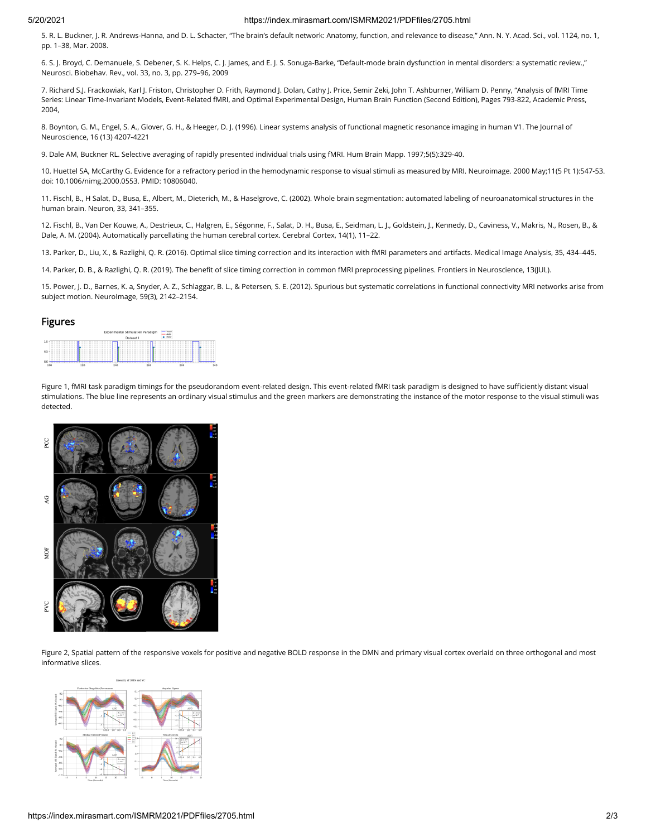#### 5/20/2021 https://index.mirasmart.com/ISMRM2021/PDFfiles/2705.html

5. R. L. Buckner, J. R. Andrews-Hanna, and D. L. Schacter, "The brain's default network: Anatomy, function, and relevance to disease," Ann. N. Y. Acad. Sci., vol. 1124, no. 1, pp. 1–38, Mar. 2008.

6. S. J. Broyd, C. Demanuele, S. Debener, S. K. Helps, C. J. James, and E. J. S. Sonuga-Barke, "Default-mode brain dysfunction in mental disorders: a systematic review.," Neurosci. Biobehav. Rev., vol. 33, no. 3, pp. 279–96, 2009

7. Richard S.J. Frackowiak, Karl J. Friston, Christopher D. Frith, Raymond J. Dolan, Cathy J. Price, Semir Zeki, John T. Ashburner, William D. Penny, "Analysis of fMRI Time Series: Linear Time-Invariant Models, Event-Related fMRI, and Optimal Experimental Design, Human Brain Function (Second Edition), Pages 793-822, Academic Press, 2004,

8. Boynton, G. M., Engel, S. A., Glover, G. H., & Heeger, D. J. (1996). Linear systems analysis of functional magnetic resonance imaging in human V1. The Journal of Neuroscience, 16 (13) 4207-4221

9. Dale AM, Buckner RL. Selective averaging of rapidly presented individual trials using fMRI. Hum Brain Mapp. 1997;5(5):329-40.

10. Huettel SA, McCarthy G. Evidence for a refractory period in the hemodynamic response to visual stimuli as measured by MRI. Neuroimage. 2000 May;11(5 Pt 1):547-53. doi: 10.1006/nimg.2000.0553. PMID: 10806040.

11. Fischl, B., H Salat, D., Busa, E., Albert, M., Dieterich, M., & Haselgrove, C. (2002). Whole brain segmentation: automated labeling of neuroanatomical structures in the human brain. Neuron, 33, 341–355.

12. Fischl, B., Van Der Kouwe, A., Destrieux, C., Halgren, E., Ségonne, F., Salat, D. H., Busa, E., Seidman, L. J., Goldstein, J., Kennedy, D., Caviness, V., Makris, N., Rosen, B., & Dale, A. M. (2004). Automatically parcellating the human cerebral cortex. Cerebral Cortex, 14(1), 11–22.

13. Parker, D., Liu, X., & Razlighi, Q. R. (2016). Optimal slice timing correction and its interaction with fMRI parameters and artifacts. Medical Image Analysis, 35, 434–445.

14. Parker, D. B., & Razlighi, Q. R. (2019). The benefit of slice timing correction in common fMRI preprocessing pipelines. Frontiers in Neuroscience, 13(JUL).

15. Power, J. D., Barnes, K. a, Snyder, A. Z., Schlaggar, B. L., & Petersen, S. E. (2012). Spurious but systematic correlations in functional connectivity MRI networks arise from subject motion. NeuroImage, 59(3), 2142–2154.

#### Figures



Figure 1, fMRI task paradigm timings for the pseudorandom event-related design. This event-related fMRI task paradigm is designed to have sufficiently distant visual stimulations. The blue line represents an ordinary visual stimulus and the green markers are demonstrating the instance of the motor response to the visual stimuli was detected.



Figure 2, Spatial pattern of the responsive voxels for positive and negative BOLD response in the DMN and primary visual cortex overlaid on three orthogonal and most informative slices.